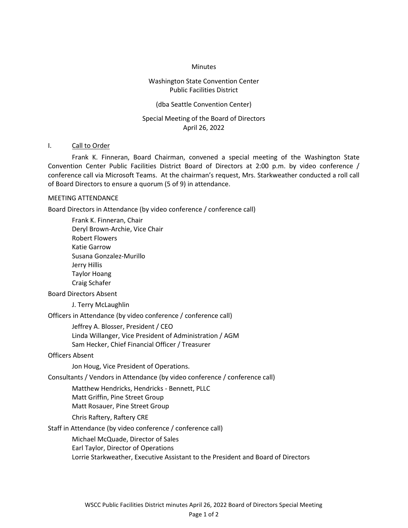#### **Minutes**

### Washington State Convention Center Public Facilities District

### (dba Seattle Convention Center)

# Special Meeting of the Board of Directors April 26, 2022

#### I. Call to Order

 Frank K. Finneran, Board Chairman, convened a special meeting of the Washington State Convention Center Public Facilities District Board of Directors at 2:00 p.m. by video conference / conference call via Microsoft Teams. At the chairman's request, Mrs. Starkweather conducted a roll call of Board Directors to ensure a quorum (5 of 9) in attendance.

#### MEETING ATTENDANCE

Board Directors in Attendance (by video conference / conference call)

Frank K. Finneran, Chair Deryl Brown-Archie, Vice Chair Robert Flowers Katie Garrow Susana Gonzalez-Murillo Jerry Hillis Taylor Hoang Craig Schafer

### Board Directors Absent

J. Terry McLaughlin

Officers in Attendance (by video conference / conference call)

Jeffrey A. Blosser, President / CEO Linda Willanger, Vice President of Administration / AGM Sam Hecker, Chief Financial Officer / Treasurer

Officers Absent

Jon Houg, Vice President of Operations.

Consultants / Vendors in Attendance (by video conference / conference call)

Matthew Hendricks, Hendricks - Bennett, PLLC

Matt Griffin, Pine Street Group

Matt Rosauer, Pine Street Group

Chris Raftery, Raftery CRE

Staff in Attendance (by video conference / conference call)

Michael McQuade, Director of Sales Earl Taylor, Director of Operations Lorrie Starkweather, Executive Assistant to the President and Board of Directors